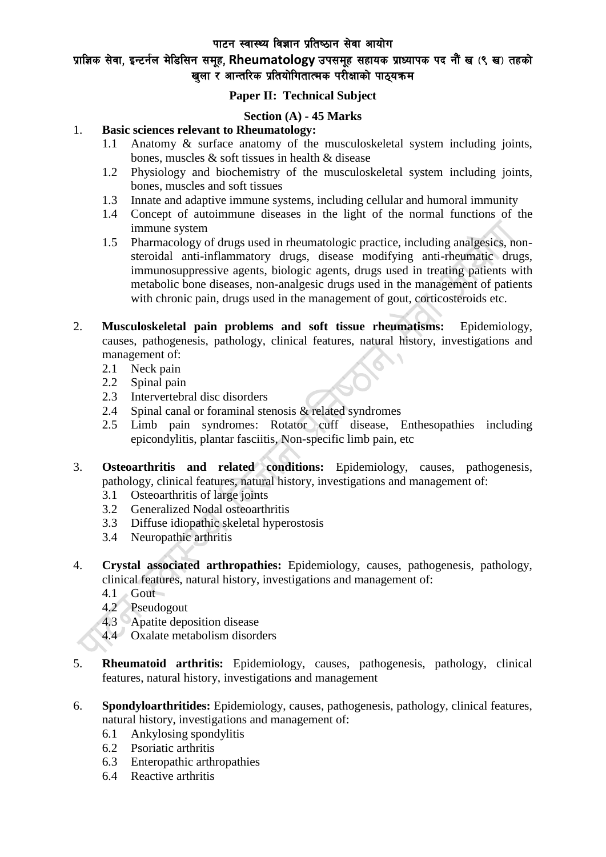पाटन स्वास्थ्य विज्ञान प्रतिष्ठान सेवा आयोग

# प्राज्ञिक सेवा, इन्टर्नल मेडिसिन समूह, Rheumatology उपसमूह सहायक प्राध्यापक पद नौं ख (९ ख) तहको खला र आन्तरिक प्रतियोगितात्मक परीक्षाको पाठयक्रम

### **Paper II: Technical Subject**

#### **Section (A) - 45 Marks**

#### 1. **Basic sciences relevant to Rheumatology:**

- 1.1 Anatomy & surface anatomy of the musculoskeletal system including joints, bones, muscles & soft tissues in health & disease
- 1.2 Physiology and biochemistry of the musculoskeletal system including joints, bones, muscles and soft tissues
- 1.3 Innate and adaptive immune systems, including cellular and humoral immunity
- 1.4 Concept of autoimmune diseases in the light of the normal functions of the immune system
- 1.5 Pharmacology of drugs used in rheumatologic practice, including analgesics, nonsteroidal anti-inflammatory drugs, disease modifying anti-rheumatic drugs, immunosuppressive agents, biologic agents, drugs used in treating patients with metabolic bone diseases, non-analgesic drugs used in the management of patients with chronic pain, drugs used in the management of gout, corticosteroids etc.
- 2. **Musculoskeletal pain problems and soft tissue rheumatisms:** Epidemiology, causes, pathogenesis, pathology, clinical features, natural history, investigations and management of:
	- 2.1 Neck pain
	- 2.2 Spinal pain
	- 2.3 Intervertebral disc disorders
	- 2.4 Spinal canal or foraminal stenosis & related syndromes
	- 2.5 Limb pain syndromes: Rotator cuff disease, Enthesopathies including epicondylitis, plantar fasciitis, Non-specific limb pain, etc
- 3. **Osteoarthritis and related conditions:** Epidemiology, causes, pathogenesis, pathology, clinical features, natural history, investigations and management of:
	- 3.1 Osteoarthritis of large joints
	- 3.2 Generalized Nodal osteoarthritis
	- 3.3 Diffuse idiopathic skeletal hyperostosis
	- 3.4 Neuropathic arthritis
- 4. **Crystal associated arthropathies:** Epidemiology, causes, pathogenesis, pathology, clinical features, natural history, investigations and management of:
	- 4.1 Gout
	- 4.2 Pseudogout
	- 4.3 Apatite deposition disease
	- 4.4 Oxalate metabolism disorders
- 5. **Rheumatoid arthritis:** Epidemiology, causes, pathogenesis, pathology, clinical features, natural history, investigations and management
- 6. **Spondyloarthritides:** Epidemiology, causes, pathogenesis, pathology, clinical features, natural history, investigations and management of:
	- 6.1 Ankylosing spondylitis
	- 6.2 Psoriatic arthritis
	- 6.3 Enteropathic arthropathies
	- 6.4 Reactive arthritis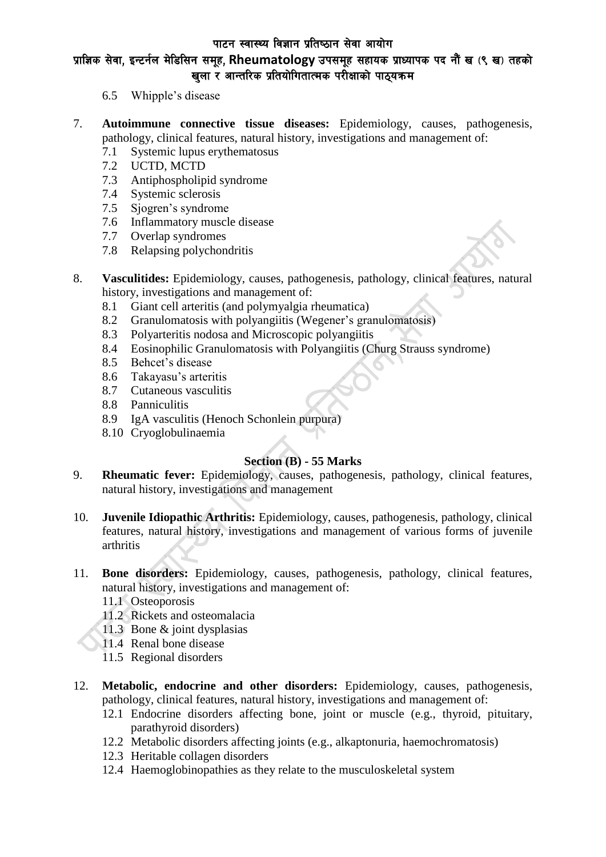#### पाटन स्वास्थ्य विज्ञान प्रतिष्ठान सेवा आयोग

# प्राज्ञिक सेवा, इन्टर्नल मेडिसिन समूह, Rheumatology उपसमूह सहायक प्राध्यापक पद नौं ख (९ ख) तहको खला र आन्तरिक प्रतियोगितात्मक परीक्षाको पाठयक्रम

- 6.5 Whipple's disease
- 7. **Autoimmune connective tissue diseases:** Epidemiology, causes, pathogenesis, pathology, clinical features, natural history, investigations and management of:
	- 7.1 Systemic lupus erythematosus
	- 7.2 UCTD, MCTD
	- 7.3 Antiphospholipid syndrome
	- 7.4 Systemic sclerosis
	- 7.5 Sjogren's syndrome
	- 7.6 Inflammatory muscle disease
	- 7.7 Overlap syndromes
	- 7.8 Relapsing polychondritis
- 8. **Vasculitides:** Epidemiology, causes, pathogenesis, pathology, clinical features, natural history, investigations and management of:
	- 8.1 Giant cell arteritis (and polymyalgia rheumatica)
	- 8.2 Granulomatosis with polyangiitis (Wegener's granulomatosis)
	- 8.3 Polyarteritis nodosa and Microscopic polyangiitis
	- 8.4 Eosinophilic Granulomatosis with Polyangiitis (Churg Strauss syndrome)
	- 8.5 Behcet's disease
	- 8.6 Takayasu's arteritis
	- 8.7 Cutaneous vasculitis
	- 8.8 Panniculitis
	- 8.9 IgA vasculitis (Henoch Schonlein purpura)
	- 8.10 Cryoglobulinaemia

#### **Section (B) - 55 Marks**

- 9. **Rheumatic fever:** Epidemiology, causes, pathogenesis, pathology, clinical features, natural history, investigations and management
- 10. **Juvenile Idiopathic Arthritis:** Epidemiology, causes, pathogenesis, pathology, clinical features, natural history, investigations and management of various forms of juvenile arthritis
- 11. **Bone disorders:** Epidemiology, causes, pathogenesis, pathology, clinical features, natural history, investigations and management of:
	- 11.1 Osteoporosis
	- 11.2 Rickets and osteomalacia
	- 11.3 Bone & joint dysplasias
	- 11.4 Renal bone disease
	- 11.5 Regional disorders
- 12. **Metabolic, endocrine and other disorders:** Epidemiology, causes, pathogenesis, pathology, clinical features, natural history, investigations and management of:
	- 12.1 Endocrine disorders affecting bone, joint or muscle (e.g., thyroid, pituitary, parathyroid disorders)
	- 12.2 Metabolic disorders affecting joints (e.g., alkaptonuria, haemochromatosis)
	- 12.3 Heritable collagen disorders
	- 12.4 Haemoglobinopathies as they relate to the musculoskeletal system